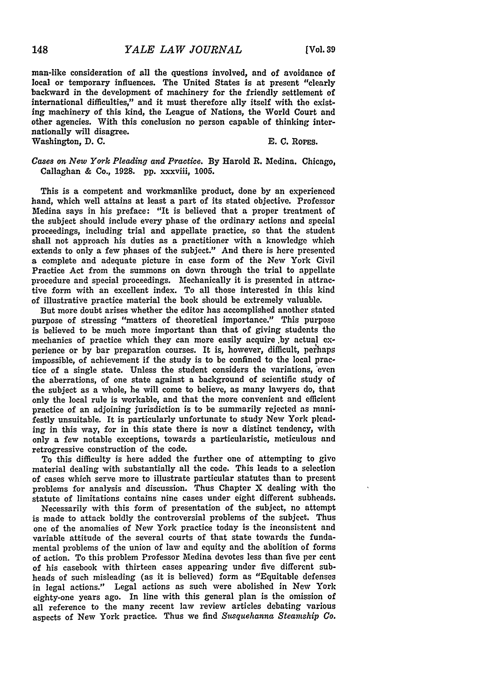man-like consideration of all the questions involved, and of avoidance of local or temporary influences. The United States is at present "clearly backward in the development of machinery for the friendly settlement of international difficulties," and it must therefore ally itself with the existing machinery of this kind, the League of Nations, the World Court and other agencies. With this conclusion no person capable of thinking internationally will disagree.

Washington, D. C. **C.** *E. C. Rores.* 

*Cases on New York Pleading and P'ractice.* **By** Harold **R.** Medina. Chicago, Callaghan & Co., 1928. **pp.** xxxviii, 1005.

This is a competent and workmanlike product, done by an experienced hand, which well attains at least a part of its stated objective. Professor Medina says in his preface: "It is believed that a proper treatment of the subject should include every phase of the ordinary actions and special proceedings, including trial and appellate practice, so that the student shall not approach his duties as a practitioner with a knowledge which extends to only a few phases of the subject." And there is here presented a complete and adequate picture in case form of the New York Civil Practice Act from the summons on down through the trial to appellate procedure and special proceedings. Mechanically it is presented in attractive form with an excellent index. To all those interested in this kind of illustrative practice material the book should be extremely valuable.

But more doubt arises whether the editor has accomplished another stated purpose of stressing "matters of theoretical importance." This purpose is believed to be much more important than that of giving students the mechanics of practice which they can more easily acquire by actual experience or by bar preparation courses. It is, however, difficult, pehaps impossible, of achievement if the study is to be confined to the local practice of a single state. Unless the student considers the variations, 'even the aberrations, of one state against a background of scientific study of the subject as a whole, he will come to believe, as many lawyers do, that only the local rule is workable, and that the more convenient and efficient practice of an adjoining jurisdiction is to be summarily rejected as manifestly unsuitable. It is particularly unfortunate to study New York pleading in this way, for in this state there is now a distinct tendency, with only a few notable exceptions, towards a particularistic, meticulous and retrogressive construction of the code.

To this difficulty is here added the further one of attempting to give material dealing with substantially all the code. This leads to a selection of cases which serve more to illustrate particular statutes than to present problems for analysis and discussion. Thus Chapter X dealing with the statute of limitations contains nine cases under eight different subheads.

Necessarily with this form of presentation of the subject, no attempt is made to attack boldly the controversial problems of the subject. Thus one of the anomalies of New York practice today is the inconsistent and variable attitude of the several courts of that state towards the fundamental problems of the union of law and equity and the abolition of forms of action. To this problem Professor Medina devotes less than five per cent of his casebook with thirteen cases appearing under five different subheads of such misleading (as it is believed) form as "Equitable defenses in legal actions." Legal actions as such were abolished in New York eighty-one years ago. In line with this general plan is the omission of all reference to the many recent law review articles debating various aspects of New York practice. Thus we find *Susquehanna Steamship Co.*